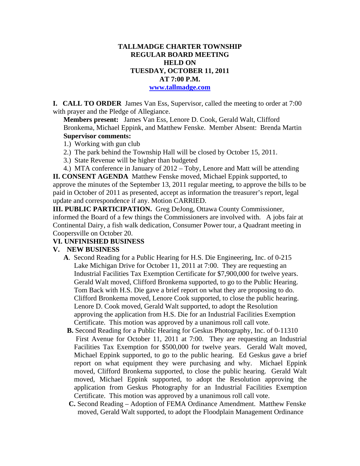# **TALLMADGE CHARTER TOWNSHIP REGULAR BOARD MEETING HELD ON TUESDAY, OCTOBER 11, 2011 AT 7:00 P.M.**

#### **www.tallmadge.com**

**I. CALL TO ORDER** James Van Ess, Supervisor, called the meeting to order at 7:00 with prayer and the Pledge of Allegiance.

**Members present:** James Van Ess, Lenore D. Cook, Gerald Walt, Clifford Bronkema, Michael Eppink, and Matthew Fenske. Member Absent: Brenda Martin **Supervisor comments:**

- 1.) Working with gun club
- 2.) The park behind the Township Hall will be closed by October 15, 2011.
- 3.) State Revenue will be higher than budgeted
- 4.) MTA conference in January of 2012 Toby, Lenore and Matt will be attending

**II. CONSENT AGENDA** Matthew Fenske moved, Michael Eppink supported, to approve the minutes of the September 13, 2011 regular meeting, to approve the bills to be paid in October of 2011 as presented, accept as information the treasurer's report, legal update and correspondence if any. Motion CARRIED.

**III. PUBLIC PARTICIPATION.** Greg DeJong, Ottawa County Commissioner, informed the Board of a few things the Commissioners are involved with. A jobs fair at Continental Dairy, a fish walk dedication, Consumer Power tour, a Quadrant meeting in Coopersville on October 20.

### **VI. UNFINISHED BUSINESS**

### **V. NEW BUSINESS**

- **A**. Second Reading for a Public Hearing for H.S. Die Engineering, Inc. of 0-215 Lake Michigan Drive for October 11, 2011 at 7:00. They are requesting an Industrial Facilities Tax Exemption Certificate for \$7,900,000 for twelve years. Gerald Walt moved, Clifford Bronkema supported, to go to the Public Hearing. Tom Back with H.S. Die gave a brief report on what they are proposing to do. Clifford Bronkema moved, Lenore Cook supported, to close the public hearing. Lenore D. Cook moved, Gerald Walt supported, to adopt the Resolution approving the application from H.S. Die for an Industrial Facilities Exemption Certificate. This motion was approved by a unanimous roll call vote.
- **B.** Second Reading for a Public Hearing for Geskus Photography, Inc. of 0-11310 First Avenue for October 11, 2011 at 7:00. They are requesting an Industrial Facilities Tax Exemption for \$500,000 for twelve years. Gerald Walt moved, Michael Eppink supported, to go to the public hearing. Ed Geskus gave a brief report on what equipment they were purchasing and why. Michael Eppink moved, Clifford Bronkema supported, to close the public hearing. Gerald Walt moved, Michael Eppink supported, to adopt the Resolution approving the application from Geskus Photography for an Industrial Facilities Exemption Certificate. This motion was approved by a unanimous roll call vote.
- **C.** Second Reading Adoption of FEMA Ordinance Amendment. Matthew Fenske moved, Gerald Walt supported, to adopt the Floodplain Management Ordinance